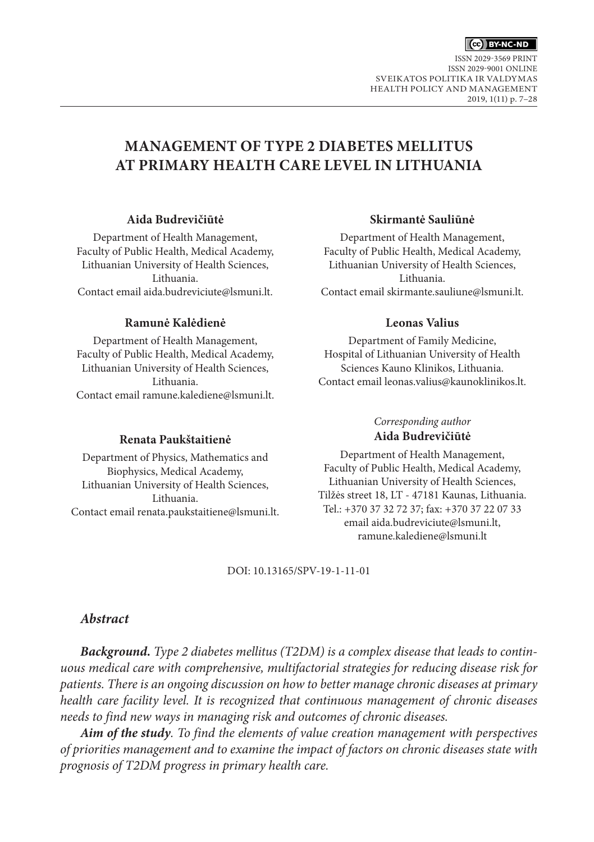

ISSN 2029-3569 PRINT ISSN 2029-9001 ONLINE SVEIKATOS POLITIKA IR VALDYMAS HEALTH POLICY AND MANAGEMENT 2019, 1(11) p. 7–28

# **MANAGEMENT OF TYPE 2 DIABETES MELLITUS AT PRIMARY HEALTH CARE LEVEL IN LITHUANIA**

#### **Aida Budrevičiūtė**

Department of Health Management, Faculty of Public Health, Medical Academy, Lithuanian University of Health Sciences, Lithuania. Contact email [aida.budreviciute@lsmuni.lt](mailto:aida.budreviciute@lsmuni.lt).

#### **Ramunė Kalėdienė**

Department of Health Management, Faculty of Public Health, Medical Academy, Lithuanian University of Health Sciences, Lithuania. Contact email [ramune.kalediene@lsmuni.lt.](mailto:ramune.kalediene@lsmuni.lt)

#### **Renata Paukštaitienė**

Department of Physics, Mathematics and Biophysics, Medical Academy, Lithuanian University of Health Sciences, Lithuania. Contact email [renata.paukstaitiene@lsmuni.lt.](mailto:renata.paukstaitiene@lsmuni.lt)

#### **Skirmantė Sauliūnė**

Department of Health Management, Faculty of Public Health, Medical Academy, Lithuanian University of Health Sciences, Lithuania. Contact email [skirmante.sauliune@lsmuni.lt](mailto:skirmante.sauliune@lsmuni.lt).

#### **Leonas Valius**

Department of Family Medicine, Hospital of Lithuanian University of Health Sciences Kauno Klinikos, Lithuania. Contact email [leonas.valius@kaunoklinikos.lt](mailto:leonas.valius@kaunoklinikos.lt).

### *Corresponding author* **Aida Budrevičiūtė**

Department of Health Management, Faculty of Public Health, Medical Academy, Lithuanian University of Health Sciences, Tilžės street 18, LT - 47181 Kaunas, Lithuania. Tel.: +370 37 32 72 37; fax: +370 37 22 07 33 email [aida.budreviciute@lsmuni.lt](mailto:aida.budreviciute@lsmuni.lt), [ramune.kalediene@lsmuni.lt](mailto:ramune.kalediene@lsmuni.lt)

DOI: 10.13165/SPV-19-1-11-01

### *Abstract*

*Background. Type 2 diabetes mellitus (T2DM) is a complex disease that leads to continuous medical care with comprehensive, multifactorial strategies for reducing disease risk for patients. There is an ongoing discussion on how to better manage chronic diseases at primary health care facility level. It is recognized that continuous management of chronic diseases needs to find new ways in managing risk and outcomes of chronic diseases.*

*Aim of the study. To find the elements of value creation management with perspectives of priorities management and to examine the impact of factors on chronic diseases state with prognosis of T2DM progress in primary health care.*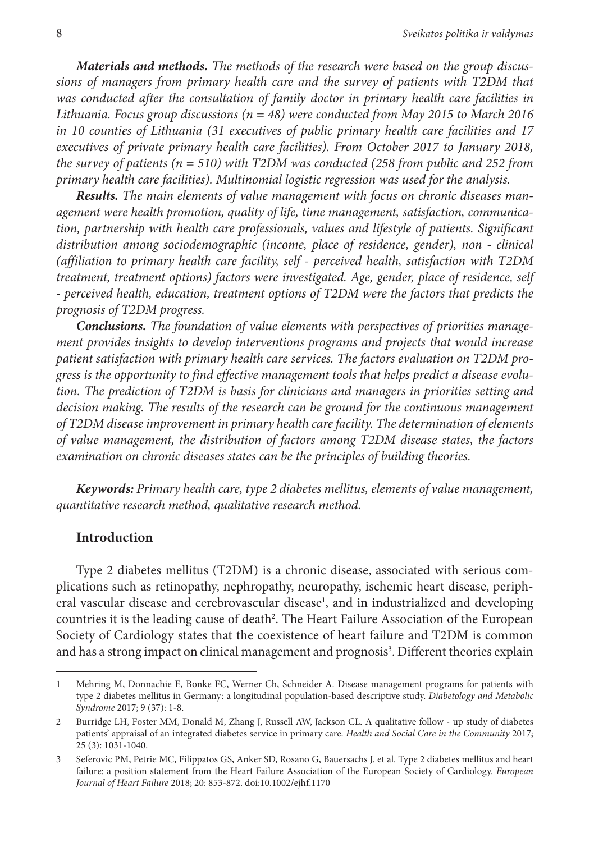*Materials and methods. The methods of the research were based on the group discussions of managers from primary health care and the survey of patients with T2DM that was conducted after the consultation of family doctor in primary health care facilities in Lithuania. Focus group discussions (n = 48) were conducted from May 2015 to March 2016 in 10 counties of Lithuania (31 executives of public primary health care facilities and 17 executives of private primary health care facilities). From October 2017 to January 2018, the survey of patients (n = 510) with T2DM was conducted (258 from public and 252 from primary health care facilities). Multinomial logistic regression was used for the analysis.*

*Results. The main elements of value management with focus on chronic diseases management were health promotion, quality of life, time management, satisfaction, communication, partnership with health care professionals, values and lifestyle of patients. Significant distribution among sociodemographic (income, place of residence, gender), non - clinical (affiliation to primary health care facility, self - perceived health, satisfaction with T2DM treatment, treatment options) factors were investigated. Age, gender, place of residence, self - perceived health, education, treatment options of T2DM were the factors that predicts the prognosis of T2DM progress.*

*Conclusions. The foundation of value elements with perspectives of priorities management provides insights to develop interventions programs and projects that would increase patient satisfaction with primary health care services. The factors evaluation on T2DM progress is the opportunity to find effective management tools that helps predict a disease evolution. The prediction of T2DM is basis for clinicians and managers in priorities setting and decision making. The results of the research can be ground for the continuous management of T2DM disease improvement in primary health care facility. The determination of elements of value management, the distribution of factors among T2DM disease states, the factors examination on chronic diseases states can be the principles of building theories.*

*Keywords: Primary health care, type 2 diabetes mellitus, elements of value management, quantitative research method, qualitative research method.*

### **Introduction**

Type 2 diabetes mellitus (T2DM) is a chronic disease, associated with serious complications such as retinopathy, nephropathy, neuropathy, ischemic heart disease, peripheral vascular disease and cerebrovascular disease<sup>1</sup>, and in industrialized and developing countries it is the leading cause of death<sup>2</sup>. The Heart Failure Association of the European Society of Cardiology states that the coexistence of heart failure and T2DM is common and has a strong impact on clinical management and prognosis<sup>3</sup>. Different theories explain

<sup>1</sup> Mehring M, Donnachie E, Bonke FC, Werner Ch, Schneider A. Disease management programs for patients with type 2 diabetes mellitus in Germany: a longitudinal population-based descriptive study. *Diabetology and Metabolic Syndrome* 2017; 9 (37): 1-8.

<sup>2</sup> Burridge LH, Foster MM, Donald M, Zhang J, Russell AW, Jackson CL. A qualitative follow - up study of diabetes patients' appraisal of an integrated diabetes service in primary care. *Health and Social Care in the Community* 2017; 25 (3): 1031-1040.

<sup>3</sup> Seferovic PM, Petrie MC, Filippatos GS, Anker SD, Rosano G, Bauersachs J. et al. Type 2 diabetes mellitus and heart failure: a position statement from the Heart Failure Association of the European Society of Cardiology. *European Journal of Heart Failure* 2018; 20: 853-872. doi:10.1002/ejhf.1170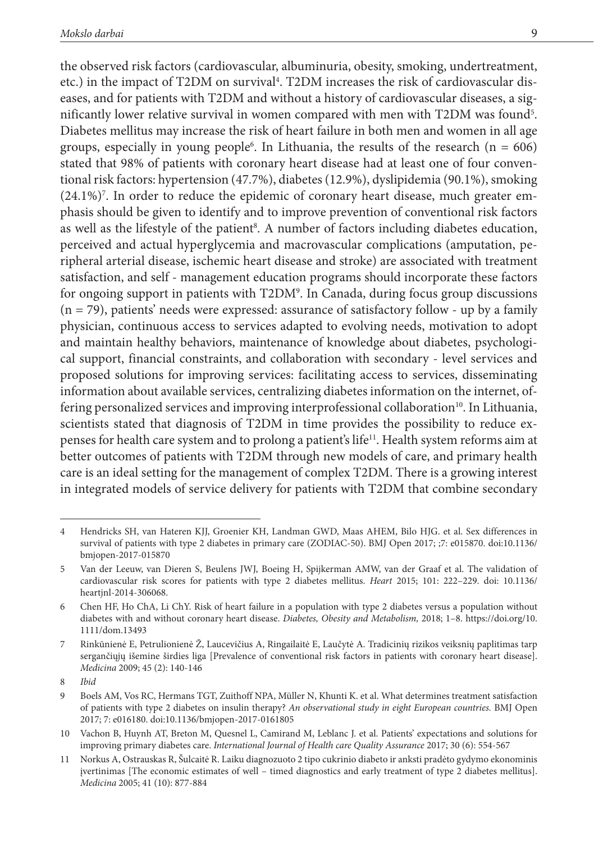the observed risk factors (cardiovascular, albuminuria, obesity, smoking, undertreatment, etc.) in the impact of T2DM on survival<sup>4</sup>. T2DM increases the risk of cardiovascular diseases, and for patients with T2DM and without a history of cardiovascular diseases, a significantly lower relative survival in women compared with men with  $\text{T2DM}$  was found<sup>5</sup>. Diabetes mellitus may increase the risk of heart failure in both men and women in all age groups, especially in young people<sup>6</sup>. In Lithuania, the results of the research  $(n = 606)$ stated that 98% of patients with coronary heart disease had at least one of four conventional risk factors: hypertension (47.7%), diabetes (12.9%), dyslipidemia (90.1%), smoking  $(24.1\%)^7$ . In order to reduce the epidemic of coronary heart disease, much greater emphasis should be given to identify and to improve prevention of conventional risk factors as well as the lifestyle of the patient<sup>8</sup>. A number of factors including diabetes education, perceived and actual hyperglycemia and macrovascular complications (amputation, peripheral arterial disease, ischemic heart disease and stroke) are associated with treatment satisfaction, and self - management education programs should incorporate these factors for ongoing support in patients with T2DM<sup>9</sup>. In Canada, during focus group discussions  $(n = 79)$ , patients' needs were expressed: assurance of satisfactory follow - up by a family physician, continuous access to services adapted to evolving needs, motivation to adopt and maintain healthy behaviors, maintenance of knowledge about diabetes, psychological support, financial constraints, and collaboration with secondary - level services and proposed solutions for improving services: facilitating access to services, disseminating information about available services, centralizing diabetes information on the internet, offering personalized services and improving interprofessional collaboration<sup>10</sup>. In Lithuania, scientists stated that diagnosis of T2DM in time provides the possibility to reduce expenses for health care system and to prolong a patient's life11. Health system reforms aim at better outcomes of patients with T2DM through new models of care, and primary health care is an ideal setting for the management of complex T2DM. There is a growing interest in integrated models of service delivery for patients with T2DM that combine secondary

<sup>4</sup> Hendricks SH, van Hateren KJJ, Groenier KH, Landman GWD, Maas AHEM, Bilo HJG. et al. Sex differences in survival of patients with type 2 diabetes in primary care (ZODIAC-50). BMJ Open 2017; ;7: e015870. doi:10.1136/ bmjopen-2017-015870

<sup>5</sup> Van der Leeuw, van Dieren S, Beulens JWJ, Boeing H, Spijkerman AMW, van der Graaf et al. The validation of cardiovascular risk scores for patients with type 2 diabetes mellitus. *Heart* 2015; 101: 222–229. doi: 10.1136/ heartjnl-2014-306068.

<sup>6</sup> Chen HF, Ho ChA, Li ChY. Risk of heart failure in a population with type 2 diabetes versus a population without diabetes with and without coronary heart disease. *Diabetes, Obesity and Metabolism,* 2018; 1–8. [https://doi.org/10.](https://doi.org/10. 1111/dom.13493)  [1111/dom.13493](https://doi.org/10. 1111/dom.13493)

<sup>7</sup> Rinkūnienė E, Petrulionienė Ž, Laucevičius A, Ringailaitė E, Laučytė A. Tradicinių rizikos veiksnių paplitimas tarp sergančiųjų išemine širdies liga [Prevalence of conventional risk factors in patients with coronary heart disease]. *Medicina* 2009; 45 (2): 140-146

<sup>8</sup> *Ibid*

<sup>9</sup> Boels AM, Vos RC, Hermans TGT, Zuithoff NPA, Müller N, Khunti K. et al. What determines treatment satisfaction of patients with type 2 diabetes on insulin therapy? *An observational study in eight European countries.* BMJ Open 2017; 7: e016180. doi:10.1136/bmjopen-2017-0161805

<sup>10</sup> Vachon B, Huynh AT, Breton M, Quesnel L, Camirand M, Leblanc J. et al. Patients' expectations and solutions for improving primary diabetes care. *International Journal of Health care Quality Assurance* 2017; 30 (6): 554-567

<sup>11</sup> Norkus A, Ostrauskas R, Šulcaitė R. Laiku diagnozuoto 2 tipo cukrinio diabeto ir anksti pradėto gydymo ekonominis įvertinimas [The economic estimates of well – timed diagnostics and early treatment of type 2 diabetes mellitus]. *Medicina* 2005; 41 (10): 877-884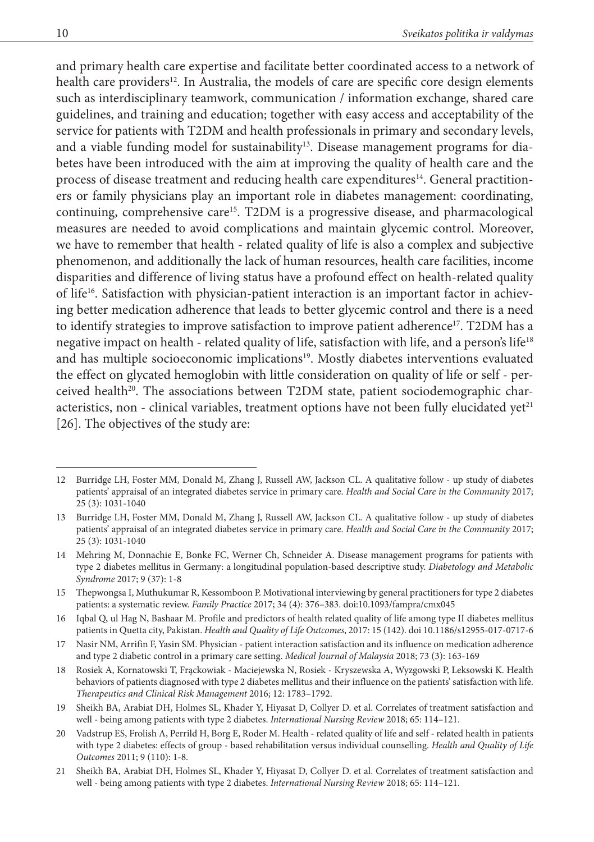and primary health care expertise and facilitate better coordinated access to a network of health care providers<sup>12</sup>. In Australia, the models of care are specific core design elements such as interdisciplinary teamwork, communication / information exchange, shared care guidelines, and training and education; together with easy access and acceptability of the service for patients with T2DM and health professionals in primary and secondary levels, and a viable funding model for sustainability<sup>13</sup>. Disease management programs for diabetes have been introduced with the aim at improving the quality of health care and the process of disease treatment and reducing health care expenditures14. General practitioners or family physicians play an important role in diabetes management: coordinating, continuing, comprehensive care15. T2DM is a progressive disease, and pharmacological measures are needed to avoid complications and maintain glycemic control. Moreover, we have to remember that health - related quality of life is also a complex and subjective phenomenon, and additionally the lack of human resources, health care facilities, income disparities and difference of living status have a profound effect on health-related quality of life<sup>16</sup>. Satisfaction with physician-patient interaction is an important factor in achieving better medication adherence that leads to better glycemic control and there is a need to identify strategies to improve satisfaction to improve patient adherence<sup>17</sup>. T2DM has a negative impact on health - related quality of life, satisfaction with life, and a person's life18 and has multiple socioeconomic implications<sup>19</sup>. Mostly diabetes interventions evaluated the effect on glycated hemoglobin with little consideration on quality of life or self - perceived health<sup>20</sup>. The associations between T2DM state, patient sociodemographic characteristics, non - clinical variables, treatment options have not been fully elucidated  $vet^{21}$ [26]. The objectives of the study are:

<sup>12</sup> Burridge LH, Foster MM, Donald M, Zhang J, Russell AW, Jackson CL. A qualitative follow - up study of diabetes patients' appraisal of an integrated diabetes service in primary care. *Health and Social Care in the Community* 2017; 25 (3): 1031-1040

<sup>13</sup> Burridge LH, Foster MM, Donald M, Zhang J, Russell AW, Jackson CL. A qualitative follow - up study of diabetes patients' appraisal of an integrated diabetes service in primary care. *Health and Social Care in the Community* 2017; 25 (3): 1031-1040

<sup>14</sup> Mehring M, Donnachie E, Bonke FC, Werner Ch, Schneider A. Disease management programs for patients with type 2 diabetes mellitus in Germany: a longitudinal population-based descriptive study. *Diabetology and Metabolic Syndrome* 2017; 9 (37): 1-8

<sup>15</sup> Thepwongsa I, Muthukumar R, Kessomboon P. Motivational interviewing by general practitioners for type 2 diabetes patients: a systematic review. *Family Practice* 2017; 34 (4): 376–383. doi:10.1093/fampra/cmx045

<sup>16</sup> Iqbal Q, ul Hag N, Bashaar M. Profile and predictors of health related quality of life among type II diabetes mellitus patients in Quetta city, Pakistan. *Health and Quality of Life Outcomes*, 2017: 15 (142). doi 10.1186/s12955-017-0717-6

<sup>17</sup> Nasir NM, Arrifin F, Yasin SM. Physician - patient interaction satisfaction and its influence on medication adherence and type 2 diabetic control in a primary care setting. *Medical Journal of Malaysia* 2018; 73 (3): 163-169

<sup>18</sup> Rosiek A, Kornatowski T, Frąckowiak - Maciejewska N, Rosiek - Kryszewska A, Wyzgowski P, Leksowski K. Health behaviors of patients diagnosed with type 2 diabetes mellitus and their influence on the patients' satisfaction with life. *Therapeutics and Clinical Risk Management* 2016; 12: 1783–1792.

<sup>19</sup> Sheikh BA, Arabiat DH, Holmes SL, Khader Y, Hiyasat D, Collyer D. et al. Correlates of treatment satisfaction and well - being among patients with type 2 diabetes. *International Nursing Review* 2018; 65: 114–121.

<sup>20</sup> Vadstrup ES, Frolish A, Perrild H, Borg E, Roder M. Health - related quality of life and self - related health in patients with type 2 diabetes: effects of group - based rehabilitation versus individual counselling. *Health and Quality of Life Outcomes* 2011; 9 (110): 1-8.

<sup>21</sup> Sheikh BA, Arabiat DH, Holmes SL, Khader Y, Hiyasat D, Collyer D. et al. Correlates of treatment satisfaction and well - being among patients with type 2 diabetes. *International Nursing Review* 2018; 65: 114–121.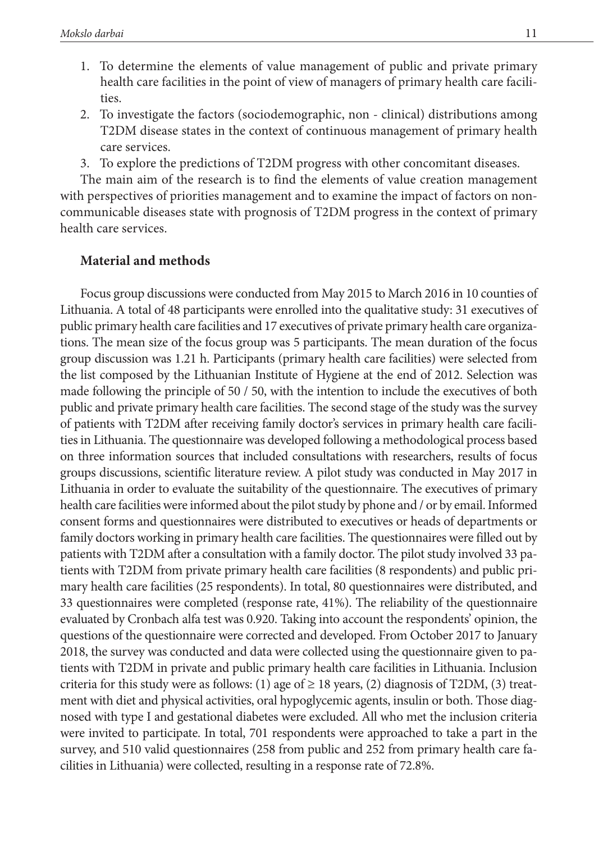- 1. To determine the elements of value management of public and private primary health care facilities in the point of view of managers of primary health care facilities.
- 2. To investigate the factors (sociodemographic, non clinical) distributions among T2DM disease states in the context of continuous management of primary health care services.
- 3. To explore the predictions of T2DM progress with other concomitant diseases.

The main aim of the research is to find the elements of value creation management with perspectives of priorities management and to examine the impact of factors on noncommunicable diseases state with prognosis of T2DM progress in the context of primary health care services.

### **Material and methods**

Focus group discussions were conducted from May 2015 to March 2016 in 10 counties of Lithuania. A total of 48 participants were enrolled into the qualitative study: 31 executives of public primary health care facilities and 17 executives of private primary health care organizations. The mean size of the focus group was 5 participants. The mean duration of the focus group discussion was 1.21 h. Participants (primary health care facilities) were selected from the list composed by the Lithuanian Institute of Hygiene at the end of 2012. Selection was made following the principle of 50 / 50, with the intention to include the executives of both public and private primary health care facilities. The second stage of the study was the survey of patients with T2DM after receiving family doctor's services in primary health care facilities in Lithuania. The questionnaire was developed following a methodological process based on three information sources that included consultations with researchers, results of focus groups discussions, scientific literature review. A pilot study was conducted in May 2017 in Lithuania in order to evaluate the suitability of the questionnaire. The executives of primary health care facilities were informed about the pilot study by phone and / or by email. Informed consent forms and questionnaires were distributed to executives or heads of departments or family doctors working in primary health care facilities. The questionnaires were filled out by patients with T2DM after a consultation with a family doctor. The pilot study involved 33 patients with T2DM from private primary health care facilities (8 respondents) and public primary health care facilities (25 respondents). In total, 80 questionnaires were distributed, and 33 questionnaires were completed (response rate, 41%). The reliability of the questionnaire evaluated by Cronbach alfa test was 0.920. Taking into account the respondents' opinion, the questions of the questionnaire were corrected and developed. From October 2017 to January 2018, the survey was conducted and data were collected using the questionnaire given to patients with T2DM in private and public primary health care facilities in Lithuania. Inclusion criteria for this study were as follows: (1) age of  $\geq$  18 years, (2) diagnosis of T2DM, (3) treatment with diet and physical activities, oral hypoglycemic agents, insulin or both. Those diagnosed with type I and gestational diabetes were excluded. All who met the inclusion criteria were invited to participate. In total, 701 respondents were approached to take a part in the survey, and 510 valid questionnaires (258 from public and 252 from primary health care facilities in Lithuania) were collected, resulting in a response rate of 72.8%.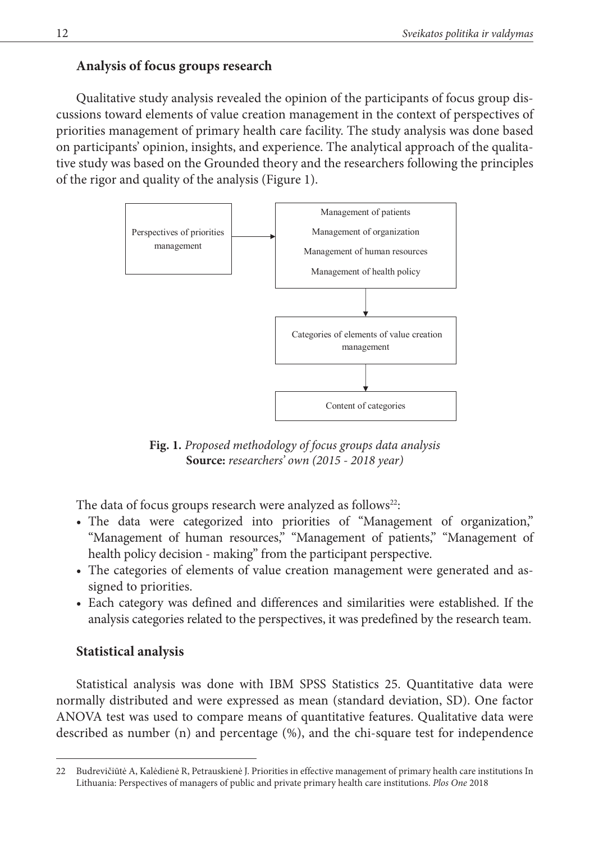### **Analysis of focus groups research**

Qualitative study analysis revealed the opinion of the participants of focus group discussions toward elements of value creation management in the context of perspectives of priorities management of primary health care facility. The study analysis was done based on participants' opinion, insights, and experience. The analytical approach of the qualitative study was based on the Grounded theory and the researchers following the principles of the rigor and quality of the analysis (Figure 1).



**Fig. 1***. Proposed methodology of focus groups data analysis* **Source:** *researchers' own (2015 - 2018 year)*

The data of focus groups research were analyzed as follows<sup>22</sup>:

- The data were categorized into priorities of "Management of organization," "Management of human resources," "Management of patients," "Management of health policy decision - making" from the participant perspective.
- The categories of elements of value creation management were generated and assigned to priorities.
- Each category was defined and differences and similarities were established. If the analysis categories related to the perspectives, it was predefined by the research team.

### **Statistical analysis**

Statistical analysis was done with IBM SPSS Statistics 25. Quantitative data were normally distributed and were expressed as mean (standard deviation, SD). One factor ANOVA test was used to compare means of quantitative features. Qualitative data were described as number (n) and percentage (%), and the chi-square test for independence

<sup>22</sup> Budrevičiūtė A, Kalėdienė R, Petrauskienė J. Priorities in effective management of primary health care institutions In Lithuania: Perspectives of managers of public and private primary health care institutions. *Plos One* 2018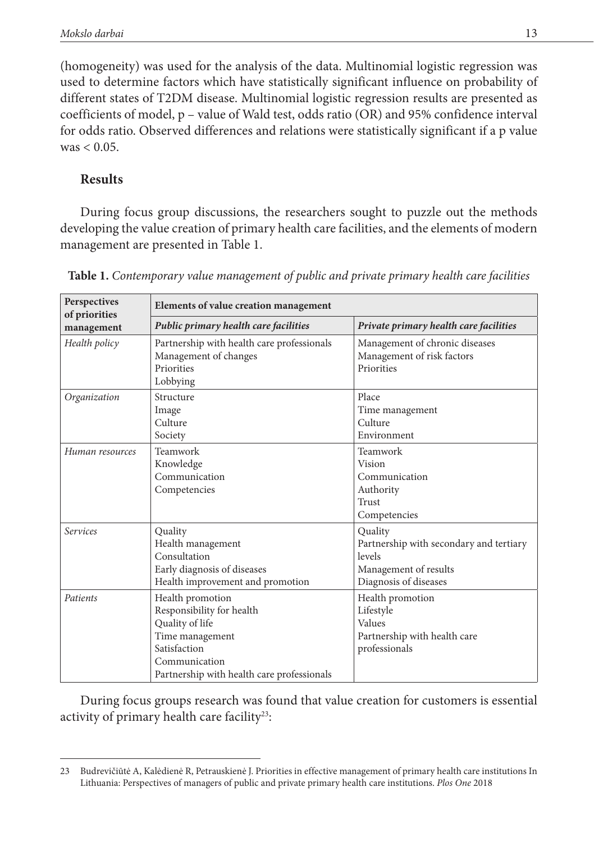(homogeneity) was used for the analysis of the data. Multinomial logistic regression was used to determine factors which have statistically significant influence on probability of different states of T2DM disease. Multinomial logistic regression results are presented as coefficients of model, p – value of Wald test, odds ratio (OR) and 95% confidence interval for odds ratio. Observed differences and relations were statistically significant if a p value  $was < 0.05$ .

## **Results**

During focus group discussions, the researchers sought to puzzle out the methods developing the value creation of primary health care facilities, and the elements of modern management are presented in Table 1.

| Perspectives<br>of priorities | Elements of value creation management                                                                                                                              |                                                                                                                |  |  |
|-------------------------------|--------------------------------------------------------------------------------------------------------------------------------------------------------------------|----------------------------------------------------------------------------------------------------------------|--|--|
| management                    | Public primary health care facilities                                                                                                                              | Private primary health care facilities                                                                         |  |  |
| Health policy                 | Partnership with health care professionals<br>Management of changes<br>Priorities<br>Lobbying                                                                      | Management of chronic diseases<br>Management of risk factors<br>Priorities                                     |  |  |
| Organization                  | Structure<br>Image<br>Culture<br>Society                                                                                                                           | Place<br>Time management<br>Culture<br>Environment                                                             |  |  |
| Human resources               | Teamwork<br>Knowledge<br>Communication<br>Competencies                                                                                                             | Teamwork<br>Vision<br>Communication<br>Authority<br>Trust<br>Competencies                                      |  |  |
| <b>Services</b>               | Quality<br>Health management<br>Consultation<br>Early diagnosis of diseases<br>Health improvement and promotion                                                    | Quality<br>Partnership with secondary and tertiary<br>levels<br>Management of results<br>Diagnosis of diseases |  |  |
| Patients                      | Health promotion<br>Responsibility for health<br>Quality of life<br>Time management<br>Satisfaction<br>Communication<br>Partnership with health care professionals | Health promotion<br>Lifestyle<br>Values<br>Partnership with health care<br>professionals                       |  |  |

**Table 1.** *Contemporary value management of public and private primary health care facilities*

During focus groups research was found that value creation for customers is essential activity of primary health care facility<sup>23</sup>:

<sup>23</sup> Budrevičiūtė A, Kalėdienė R, Petrauskienė J. Priorities in effective management of primary health care institutions In Lithuania: Perspectives of managers of public and private primary health care institutions. *Plos One* 2018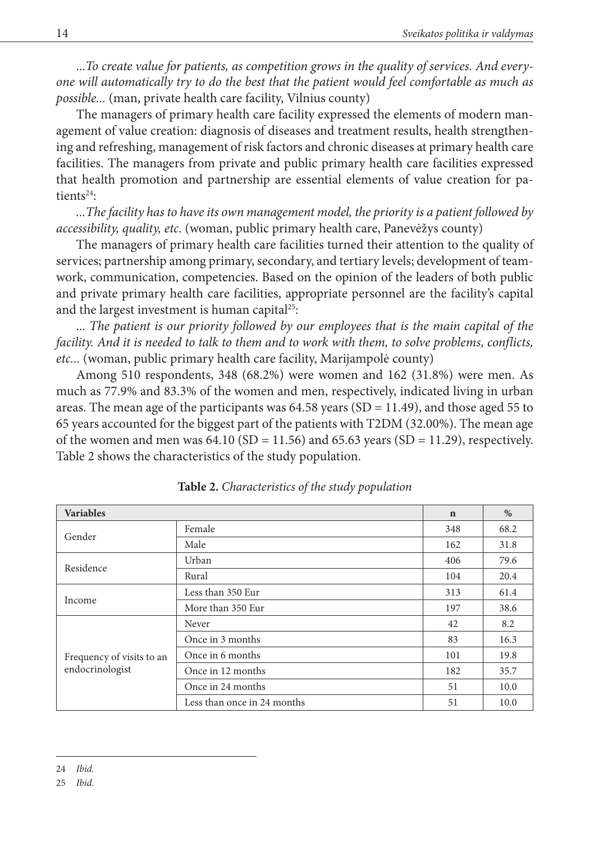...*To create value for patients, as competition grows in the quality of services. And everyone will automatically try to do the best that the patient would feel comfortable as much as possible...* (man, private health care facility, Vilnius county)

The managers of primary health care facility expressed the elements of modern management of value creation: diagnosis of diseases and treatment results, health strengthening and refreshing, management of risk factors and chronic diseases at primary health care facilities. The managers from private and public primary health care facilities expressed that health promotion and partnership are essential elements of value creation for patients $24$ :

*...The facility has to have its own management model, the priority is a patient followed by accessibility, quality, etc.* (woman, public primary health care, Panevėžys county)

The managers of primary health care facilities turned their attention to the quality of services; partnership among primary, secondary, and tertiary levels; development of teamwork, communication, competencies. Based on the opinion of the leaders of both public and private primary health care facilities, appropriate personnel are the facility's capital and the largest investment is human capital<sup>25</sup>:

... *The patient is our priority followed by our employees that is the main capital of the facility. And it is needed to talk to them and to work with them, to solve problems, conflicts, etc...* (woman, public primary health care facility, Marijampolė county)

Among 510 respondents, 348 (68.2%) were women and 162 (31.8%) were men. As much as 77.9% and 83.3% of the women and men, respectively, indicated living in urban areas. The mean age of the participants was  $64.58$  years (SD = 11.49), and those aged 55 to 65 years accounted for the biggest part of the patients with T2DM (32.00%). The mean age of the women and men was  $64.10$  (SD = 11.56) and  $65.63$  years (SD = 11.29), respectively. Table 2 shows the characteristics of the study population.

| <b>Variables</b>          |                             | $\mathbf n$ | $\%$ |
|---------------------------|-----------------------------|-------------|------|
| Gender                    | Female                      | 348         | 68.2 |
|                           | Male                        | 162         | 31.8 |
| Residence                 | Urban                       | 406         | 79.6 |
|                           | Rural                       | 104         | 20.4 |
|                           | Less than 350 Eur           | 313         | 61.4 |
| Income                    | More than 350 Eur           | 197         | 38.6 |
|                           | Never                       | 42          | 8.2  |
|                           | Once in 3 months            | 83          | 16.3 |
| Frequency of visits to an | Once in 6 months            | 101         | 19.8 |
| endocrinologist           | Once in 12 months           | 182         | 35.7 |
|                           | Once in 24 months           | 51          | 10.0 |
|                           | Less than once in 24 months | 51          | 10.0 |

**Table 2.** *Characteristics of the study population*

<sup>24</sup> *Ibid.*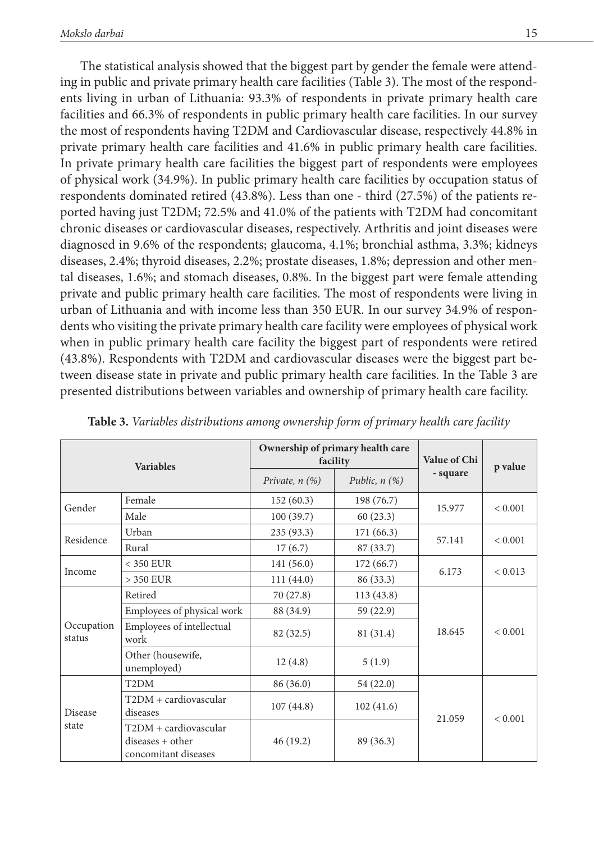The statistical analysis showed that the biggest part by gender the female were attending in public and private primary health care facilities (Table 3). The most of the respondents living in urban of Lithuania: 93.3% of respondents in private primary health care facilities and 66.3% of respondents in public primary health care facilities. In our survey the most of respondents having T2DM and Cardiovascular disease, respectively 44.8% in private primary health care facilities and 41.6% in public primary health care facilities. In private primary health care facilities the biggest part of respondents were employees of physical work (34.9%). In public primary health care facilities by occupation status of respondents dominated retired (43.8%). Less than one - third (27.5%) of the patients reported having just T2DM; 72.5% and 41.0% of the patients with T2DM had concomitant chronic diseases or cardiovascular diseases, respectively. Arthritis and joint diseases were diagnosed in 9.6% of the respondents; glaucoma, 4.1%; bronchial asthma, 3.3%; kidneys diseases, 2.4%; thyroid diseases, 2.2%; prostate diseases, 1.8%; depression and other mental diseases, 1.6%; and stomach diseases, 0.8%. In the biggest part were female attending private and public primary health care facilities. The most of respondents were living in urban of Lithuania and with income less than 350 EUR. In our survey 34.9% of respondents who visiting the private primary health care facility were employees of physical work when in public primary health care facility the biggest part of respondents were retired (43.8%). Respondents with T2DM and cardiovascular diseases were the biggest part between disease state in private and public primary health care facilities. In the Table 3 are presented distributions between variables and ownership of primary health care facility.

| <b>Variables</b>        |                                                                   |                                           | Ownership of primary health care<br>facility | Value of Chi | p value      |
|-------------------------|-------------------------------------------------------------------|-------------------------------------------|----------------------------------------------|--------------|--------------|
|                         |                                                                   | Public, $n$ $(\%)$<br>Private, $n$ $(\%)$ |                                              | - square     |              |
| Gender                  | Female                                                            | 152(60.3)                                 | 198 (76.7)                                   | 15.977       | < 0.001      |
|                         | Male                                                              | 100(39.7)                                 | 60(23.3)                                     |              |              |
| Residence               | Urban                                                             | 235(93.3)                                 | 171(66.3)                                    | 57.141       | < 0.001      |
|                         | Rural                                                             | 17(6.7)                                   | 87 (33.7)                                    |              |              |
|                         | $<$ 350 EUR                                                       | 141(56.0)                                 | 172(66.7)                                    | 6.173        | < 0.013      |
| Income                  | $>$ 350 EUR                                                       | 111(44.0)                                 | 86 (33.3)                                    |              |              |
|                         | Retired                                                           | 70 (27.8)                                 | 113(43.8)                                    |              | ${}_{0.001}$ |
|                         | Employees of physical work                                        | 88 (34.9)                                 | 59(22.9)                                     |              |              |
| Occupation<br>status    | Employees of intellectual<br>work                                 | 82 (32.5)                                 | 81 (31.4)                                    | 18.645       |              |
|                         | Other (housewife,<br>unemployed)                                  | 12(4.8)                                   | 5(1.9)                                       |              |              |
| <b>Disease</b><br>state | T <sub>2</sub> DM                                                 | 86 (36.0)                                 | 54 (22.0)                                    |              |              |
|                         | T2DM + cardiovascular<br>diseases                                 | 107(44.8)                                 | 102(41.6)                                    | 21.059       | ${}_{0.001}$ |
|                         | T2DM + cardiovascular<br>diseases + other<br>concomitant diseases | 46(19.2)                                  | 89 (36.3)                                    |              |              |

**Table 3.** *Variables distributions among ownership form of primary health care facility*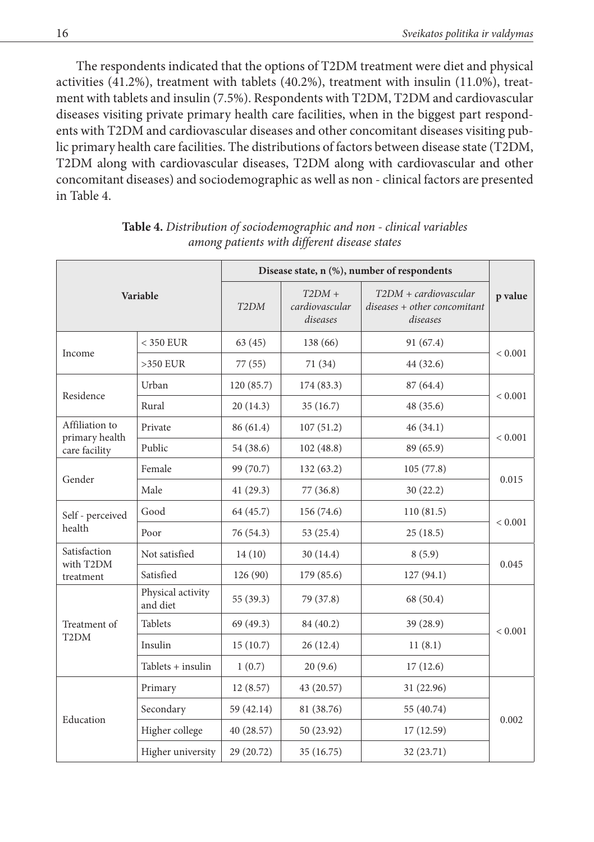The respondents indicated that the options of T2DM treatment were diet and physical activities (41.2%), treatment with tablets (40.2%), treatment with insulin (11.0%), treatment with tablets and insulin (7.5%). Respondents with T2DM, T2DM and cardiovascular diseases visiting private primary health care facilities, when in the biggest part respondents with T2DM and cardiovascular diseases and other concomitant diseases visiting public primary health care facilities. The distributions of factors between disease state (T2DM, T2DM along with cardiovascular diseases, T2DM along with cardiovascular and other concomitant diseases) and sociodemographic as well as non - clinical factors are presented in Table 4.

| Variable                          |                               | Disease state, n (%), number of respondents |                                        |                                                                            |             |  |
|-----------------------------------|-------------------------------|---------------------------------------------|----------------------------------------|----------------------------------------------------------------------------|-------------|--|
|                                   |                               | T <sub>2</sub> DM                           | $T2DM +$<br>cardiovascular<br>diseases | $T2DM + \alpha$ rdiovascular<br>$diseases + other concomitant$<br>diseases | p value     |  |
| Income                            | $<$ 350 EUR                   | 63(45)                                      | 138 (66)                               | 91 (67.4)                                                                  | ${}< 0.001$ |  |
|                                   | $>350$ EUR                    | 77 (55)                                     | 71 (34)                                | 44 (32.6)                                                                  |             |  |
| Residence                         | Urban                         | 120 (85.7)                                  | 174 (83.3)                             | 87 (64.4)                                                                  | < 0.001     |  |
|                                   | Rural                         | 20(14.3)                                    | 35(16.7)                               | 48 (35.6)                                                                  |             |  |
| Affiliation to<br>primary health  | Private                       | 86 (61.4)                                   | 107(51.2)                              | 46(34.1)                                                                   | < 0.001     |  |
| care facility                     | Public                        | 54 (38.6)                                   | 102(48.8)                              | 89 (65.9)                                                                  |             |  |
| Gender                            | Female                        | 99 (70.7)                                   | 132(63.2)                              | 105(77.8)                                                                  | 0.015       |  |
|                                   | Male                          | 41(29.3)                                    | 77(36.8)                               | 30(22.2)                                                                   |             |  |
| Self - perceived                  | Good                          | 64 (45.7)                                   | 156 (74.6)                             | 110(81.5)                                                                  | ${}< 0.001$ |  |
| health                            | Poor                          | 76 (54.3)                                   | 53 (25.4)                              | 25(18.5)                                                                   |             |  |
| Satisfaction<br>with T2DM         | Not satisfied                 | 14(10)                                      | 30(14.4)                               | 8(5.9)                                                                     | 0.045       |  |
| treatment                         | Satisfied                     | 126 (90)                                    | 179(85.6)                              | 127(94.1)                                                                  |             |  |
| Treatment of<br>T <sub>2</sub> DM | Physical activity<br>and diet | 55 (39.3)                                   | 79 (37.8)                              | 68 (50.4)                                                                  | ${}< 0.001$ |  |
|                                   | <b>Tablets</b>                | 69 (49.3)                                   | 84 (40.2)                              | 39 (28.9)                                                                  |             |  |
|                                   | Insulin                       | 15(10.7)                                    | 26(12.4)                               | 11(8.1)                                                                    |             |  |
|                                   | $Tablets + insulin$           | 1(0.7)                                      | 20(9.6)                                | 17(12.6)                                                                   |             |  |
| Education                         | Primary                       | 12(8.57)                                    | 43 (20.57)                             | 31 (22.96)                                                                 | 0.002       |  |
|                                   | Secondary                     | 59 (42.14)                                  | 81 (38.76)                             | 55 (40.74)                                                                 |             |  |
|                                   | Higher college                | 40 (28.57)                                  | 50 (23.92)                             | 17 (12.59)                                                                 |             |  |
|                                   | Higher university             | 29 (20.72)                                  | 35 (16.75)                             | 32 (23.71)                                                                 |             |  |

**Table 4.** *Distribution of sociodemographic and non - clinical variables among patients with different disease states*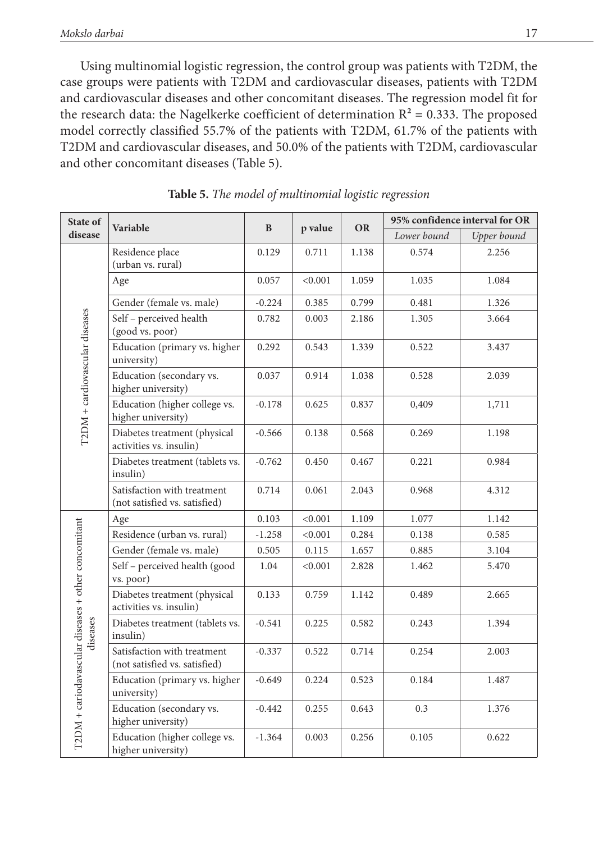Using multinomial logistic regression, the control group was patients with T2DM, the case groups were patients with T2DM and cardiovascular diseases, patients with T2DM and cardiovascular diseases and other concomitant diseases. The regression model fit for the research data: the Nagelkerke coefficient of determination  $R^2 = 0.333$ . The proposed model correctly classified 55.7% of the patients with T2DM, 61.7% of the patients with T2DM and cardiovascular diseases, and 50.0% of the patients with T2DM, cardiovascular and other concomitant diseases (Table 5).

| State of                                                        | Variable                                                     | B        | p value | <b>OR</b> | 95% confidence interval for OR |             |
|-----------------------------------------------------------------|--------------------------------------------------------------|----------|---------|-----------|--------------------------------|-------------|
| disease                                                         |                                                              |          |         |           | Lower bound                    | Upper bound |
|                                                                 | Residence place<br>(urban vs. rural)                         | 0.129    | 0.711   | 1.138     | 0.574                          | 2.256       |
|                                                                 | Age                                                          | 0.057    | < 0.001 | 1.059     | 1.035                          | 1.084       |
|                                                                 | Gender (female vs. male)                                     | $-0.224$ | 0.385   | 0.799     | 0.481                          | 1.326       |
|                                                                 | Self - perceived health<br>(good vs. poor)                   | 0.782    | 0.003   | 2.186     | 1.305                          | 3.664       |
|                                                                 | Education (primary vs. higher<br>university)                 | 0.292    | 0.543   | 1.339     | 0.522                          | 3.437       |
| T2DM + cardiovascular diseases                                  | Education (secondary vs.<br>higher university)               | 0.037    | 0.914   | 1.038     | 0.528                          | 2.039       |
|                                                                 | Education (higher college vs.<br>higher university)          | $-0.178$ | 0.625   | 0.837     | 0,409                          | 1,711       |
|                                                                 | Diabetes treatment (physical<br>activities vs. insulin)      | $-0.566$ | 0.138   | 0.568     | 0.269                          | 1.198       |
|                                                                 | Diabetes treatment (tablets vs.<br>insulin)                  | $-0.762$ | 0.450   | 0.467     | 0.221                          | 0.984       |
|                                                                 | Satisfaction with treatment<br>(not satisfied vs. satisfied) | 0.714    | 0.061   | 2.043     | 0.968                          | 4.312       |
|                                                                 | Age                                                          | 0.103    | < 0.001 | 1.109     | 1.077                          | 1.142       |
|                                                                 | Residence (urban vs. rural)                                  | $-1.258$ | < 0.001 | 0.284     | 0.138                          | 0.585       |
|                                                                 | Gender (female vs. male)                                     | 0.505    | 0.115   | 1.657     | 0.885                          | 3.104       |
| T2DM + cariodavascular diseases + other concomitant<br>diseases | Self - perceived health (good<br>vs. poor)                   | 1.04     | < 0.001 | 2.828     | 1.462                          | 5.470       |
|                                                                 | Diabetes treatment (physical<br>activities vs. insulin)      | 0.133    | 0.759   | 1.142     | 0.489                          | 2.665       |
|                                                                 | Diabetes treatment (tablets vs.<br>insulin)                  | $-0.541$ | 0.225   | 0.582     | 0.243                          | 1.394       |
|                                                                 | Satisfaction with treatment<br>(not satisfied vs. satisfied) | $-0.337$ | 0.522   | 0.714     | 0.254                          | 2.003       |
|                                                                 | Education (primary vs. higher<br>university)                 | $-0.649$ | 0.224   | 0.523     | 0.184                          | 1.487       |
|                                                                 | Education (secondary vs.<br>higher university)               | $-0.442$ | 0.255   | 0.643     | 0.3                            | 1.376       |
|                                                                 | Education (higher college vs.<br>higher university)          | $-1.364$ | 0.003   | 0.256     | 0.105                          | 0.622       |

**Table 5.** *The model of multinomial logistic regression*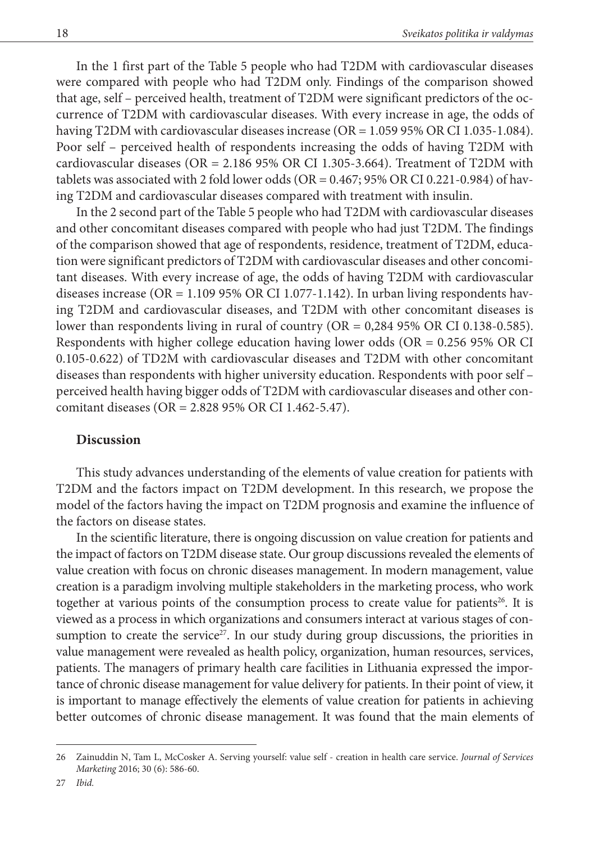In the 1 first part of the Table 5 people who had T2DM with cardiovascular diseases were compared with people who had T2DM only. Findings of the comparison showed that age, self – perceived health, treatment of T2DM were significant predictors of the occurrence of T2DM with cardiovascular diseases. With every increase in age, the odds of having T2DM with cardiovascular diseases increase (OR = 1.059 95% OR CI 1.035-1.084). Poor self – perceived health of respondents increasing the odds of having T2DM with cardiovascular diseases (OR = 2.186 95% OR CI 1.305-3.664). Treatment of T2DM with tablets was associated with 2 fold lower odds (OR = 0.467; 95% OR CI 0.221-0.984) of having T2DM and cardiovascular diseases compared with treatment with insulin.

In the 2 second part of the Table 5 people who had T2DM with cardiovascular diseases and other concomitant diseases compared with people who had just T2DM. The findings of the comparison showed that age of respondents, residence, treatment of T2DM, education were significant predictors of T2DM with cardiovascular diseases and other concomitant diseases. With every increase of age, the odds of having T2DM with cardiovascular diseases increase (OR =  $1.10995\%$  OR CI 1.077-1.142). In urban living respondents having T2DM and cardiovascular diseases, and T2DM with other concomitant diseases is lower than respondents living in rural of country (OR = 0,284 95% OR CI 0.138-0.585). Respondents with higher college education having lower odds ( $OR = 0.25695\%$  OR CI 0.105-0.622) of TD2M with cardiovascular diseases and T2DM with other concomitant diseases than respondents with higher university education. Respondents with poor self – perceived health having bigger odds of T2DM with cardiovascular diseases and other concomitant diseases (OR = 2.828 95% OR CI 1.462-5.47).

### **Discussion**

This study advances understanding of the elements of value creation for patients with T2DM and the factors impact on T2DM development. In this research, we propose the model of the factors having the impact on T2DM prognosis and examine the influence of the factors on disease states.

In the scientific literature, there is ongoing discussion on value creation for patients and the impact of factors on T2DM disease state. Our group discussions revealed the elements of value creation with focus on chronic diseases management. In modern management, value creation is a paradigm involving multiple stakeholders in the marketing process, who work together at various points of the consumption process to create value for patients<sup>26</sup>. It is viewed as a process in which organizations and consumers interact at various stages of consumption to create the service<sup>27</sup>. In our study during group discussions, the priorities in value management were revealed as health policy, organization, human resources, services, patients. The managers of primary health care facilities in Lithuania expressed the importance of chronic disease management for value delivery for patients. In their point of view, it is important to manage effectively the elements of value creation for patients in achieving better outcomes of chronic disease management. It was found that the main elements of

<sup>26</sup> Zainuddin N, Tam L, McCosker A. Serving yourself: value self - creation in health care service. *Journal of Services Marketing* 2016; 30 (6): 586-60.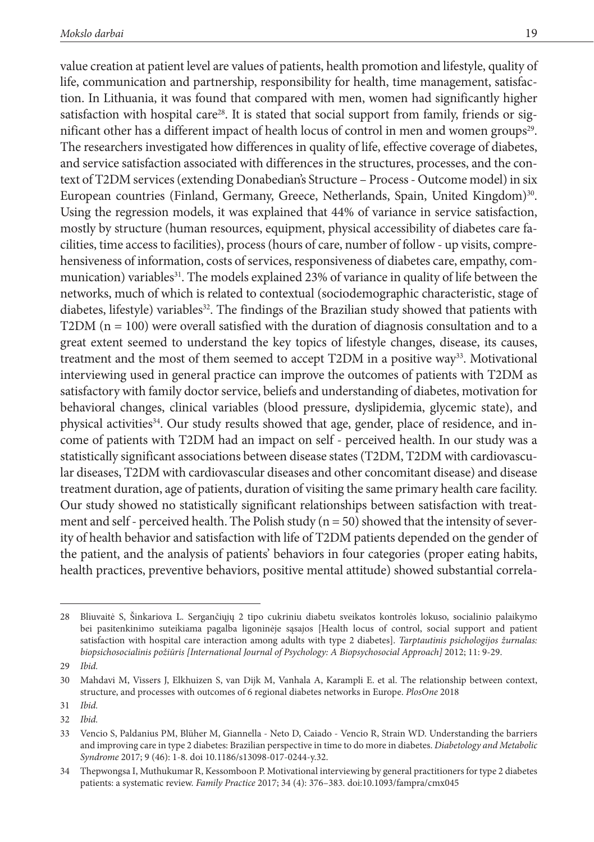value creation at patient level are values of patients, health promotion and lifestyle, quality of life, communication and partnership, responsibility for health, time management, satisfaction. In Lithuania, it was found that compared with men, women had significantly higher satisfaction with hospital care<sup>28</sup>. It is stated that social support from family, friends or significant other has a different impact of health locus of control in men and women groups<sup>29</sup>. The researchers investigated how differences in quality of life, effective coverage of diabetes, and service satisfaction associated with differences in the structures, processes, and the context of T2DM services (extending Donabedian's Structure – Process - Outcome model) in six European countries (Finland, Germany, Greece, Netherlands, Spain, United Kingdom)<sup>30</sup>. Using the regression models, it was explained that 44% of variance in service satisfaction, mostly by structure (human resources, equipment, physical accessibility of diabetes care facilities, time access to facilities), process (hours of care, number of follow - up visits, comprehensiveness of information, costs of services, responsiveness of diabetes care, empathy, communication) variables<sup>31</sup>. The models explained 23% of variance in quality of life between the networks, much of which is related to contextual (sociodemographic characteristic, stage of diabetes, lifestyle) variables<sup>32</sup>. The findings of the Brazilian study showed that patients with  $T2DM (n = 100)$  were overall satisfied with the duration of diagnosis consultation and to a great extent seemed to understand the key topics of lifestyle changes, disease, its causes, treatment and the most of them seemed to accept T2DM in a positive way<sup>33</sup>. Motivational interviewing used in general practice can improve the outcomes of patients with T2DM as satisfactory with family doctor service, beliefs and understanding of diabetes, motivation for behavioral changes, clinical variables (blood pressure, dyslipidemia, glycemic state), and physical activities<sup>34</sup>. Our study results showed that age, gender, place of residence, and income of patients with T2DM had an impact on self - perceived health. In our study was a statistically significant associations between disease states (T2DM, T2DM with cardiovascular diseases, T2DM with cardiovascular diseases and other concomitant disease) and disease treatment duration, age of patients, duration of visiting the same primary health care facility. Our study showed no statistically significant relationships between satisfaction with treatment and self - perceived health. The Polish study ( $n = 50$ ) showed that the intensity of severity of health behavior and satisfaction with life of T2DM patients depended on the gender of the patient, and the analysis of patients' behaviors in four categories (proper eating habits, health practices, preventive behaviors, positive mental attitude) showed substantial correla-

<sup>28</sup> Bliuvaitė S, Šinkariova L. Sergančiųjų 2 tipo cukriniu diabetu sveikatos kontrolės lokuso, socialinio palaikymo bei pasitenkinimo suteikiama pagalba ligoninėje sąsajos [Health locus of control, social support and patient satisfaction with hospital care interaction among adults with type 2 diabetes]. *Tarptautinis psichologijos žurnalas: biopsichosocialinis požiūris [International Journal of Psychology: A Biopsychosocial Approach]* 2012; 11: 9-29.

<sup>29</sup> *Ibid.*

<sup>30</sup> Mahdavi M, Vissers J, Elkhuizen S, van Dijk M, Vanhala A, Karampli E. et al. The relationship between context, structure, and processes with outcomes of 6 regional diabetes networks in Europe. *PlosOne* 2018

<sup>31</sup> *Ibid.* 32 *Ibid.*

<sup>33</sup> Vencio S, Paldanius PM, Blüher M, Giannella - Neto D, Caiado - Vencio R, Strain WD. Understanding the barriers and improving care in type 2 diabetes: Brazilian perspective in time to do more in diabetes. *Diabetology and Metabolic Syndrome* 2017; 9 (46): 1-8. doi 10.1186/s13098-017-0244-y.32.

<sup>34</sup> Thepwongsa I, Muthukumar R, Kessomboon P. Motivational interviewing by general practitioners for type 2 diabetes patients: a systematic review. *Family Practice* 2017; 34 (4): 376–383. doi:10.1093/fampra/cmx045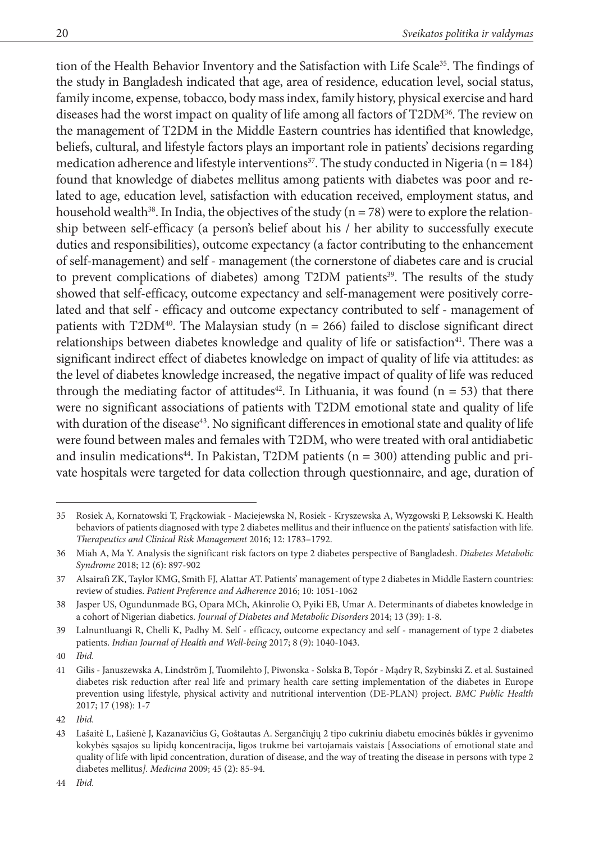tion of the Health Behavior Inventory and the Satisfaction with Life Scale<sup>35</sup>. The findings of the study in Bangladesh indicated that age, area of residence, education level, social status, family income, expense, tobacco, body mass index, family history, physical exercise and hard diseases had the worst impact on quality of life among all factors of T2DM36. The review on the management of T2DM in the Middle Eastern countries has identified that knowledge, beliefs, cultural, and lifestyle factors plays an important role in patients' decisions regarding medication adherence and lifestyle interventions<sup>37</sup>. The study conducted in Nigeria ( $n = 184$ ) found that knowledge of diabetes mellitus among patients with diabetes was poor and related to age, education level, satisfaction with education received, employment status, and household wealth<sup>38</sup>. In India, the objectives of the study ( $n = 78$ ) were to explore the relationship between self-efficacy (a person's belief about his / her ability to successfully execute duties and responsibilities), outcome expectancy (a factor contributing to the enhancement of self-management) and self - management (the cornerstone of diabetes care and is crucial to prevent complications of diabetes) among T2DM patients<sup>39</sup>. The results of the study showed that self-efficacy, outcome expectancy and self-management were positively correlated and that self - efficacy and outcome expectancy contributed to self - management of patients with T2DM<sup>40</sup>. The Malaysian study ( $n = 266$ ) failed to disclose significant direct relationships between diabetes knowledge and quality of life or satisfaction<sup>41</sup>. There was a significant indirect effect of diabetes knowledge on impact of quality of life via attitudes: as the level of diabetes knowledge increased, the negative impact of quality of life was reduced through the mediating factor of attitudes<sup>42</sup>. In Lithuania, it was found ( $n = 53$ ) that there were no significant associations of patients with T2DM emotional state and quality of life with duration of the disease<sup>43</sup>. No significant differences in emotional state and quality of life were found between males and females with T2DM, who were treated with oral antidiabetic and insulin medications<sup>44</sup>. In Pakistan, T2DM patients ( $n = 300$ ) attending public and private hospitals were targeted for data collection through questionnaire, and age, duration of

<sup>35</sup> Rosiek A, Kornatowski T, Frąckowiak - Maciejewska N, Rosiek - Kryszewska A, Wyzgowski P, Leksowski K. Health behaviors of patients diagnosed with type 2 diabetes mellitus and their influence on the patients' satisfaction with life. *Therapeutics and Clinical Risk Management* 2016; 12: 1783–1792.

<sup>36</sup> Miah A, Ma Y. Analysis the significant risk factors on type 2 diabetes perspective of Bangladesh. *Diabetes Metabolic Syndrome* 2018; 12 (6): 897-902

<sup>37</sup> Alsairafi ZK, Taylor KMG, Smith FJ, Alattar AT. Patients' management of type 2 diabetes in Middle Eastern countries: review of studies. *Patient Preference and Adherence* 2016; 10: 1051-1062

<sup>38</sup> Jasper US, Ogundunmade BG, Opara MCh, Akinrolie O, Pyiki EB, Umar A. Determinants of diabetes knowledge in a cohort of Nigerian diabetics. *Journal of Diabetes and Metabolic Disorders* 2014; 13 (39): 1-8.

<sup>39</sup> Lalnuntluangi R, Chelli K, Padhy M. Self - efficacy, outcome expectancy and self - management of type 2 diabetes patients. *Indian Journal of Health and Well-being* 2017; 8 (9): 1040-1043.

<sup>40</sup> *Ibid.*

<sup>41</sup> Gilis - Januszewska A, Lindstrӧm J, Tuomilehto J, Piwonska - Solska B, Topór - Mądry R, Szybinski Z. et al. Sustained diabetes risk reduction after real life and primary health care setting implementation of the diabetes in Europe prevention using lifestyle, physical activity and nutritional intervention (DE-PLAN) project. *BMC Public Health* 2017; 17 (198): 1-7

<sup>42</sup> *Ibid.*

<sup>43</sup> Lašaitė L, Lašienė J, Kazanavičius G, Goštautas A. Sergančiųjų 2 tipo cukriniu diabetu emocinės būklės ir gyvenimo kokybės sąsajos su lipidų koncentracija, ligos trukme bei vartojamais vaistais [Associations of emotional state and quality of life with lipid concentration, duration of disease, and the way of treating the disease in persons with type 2 diabetes mellitus*]. Medicina* 2009; 45 (2): 85-94.

<sup>44</sup> *Ibid.*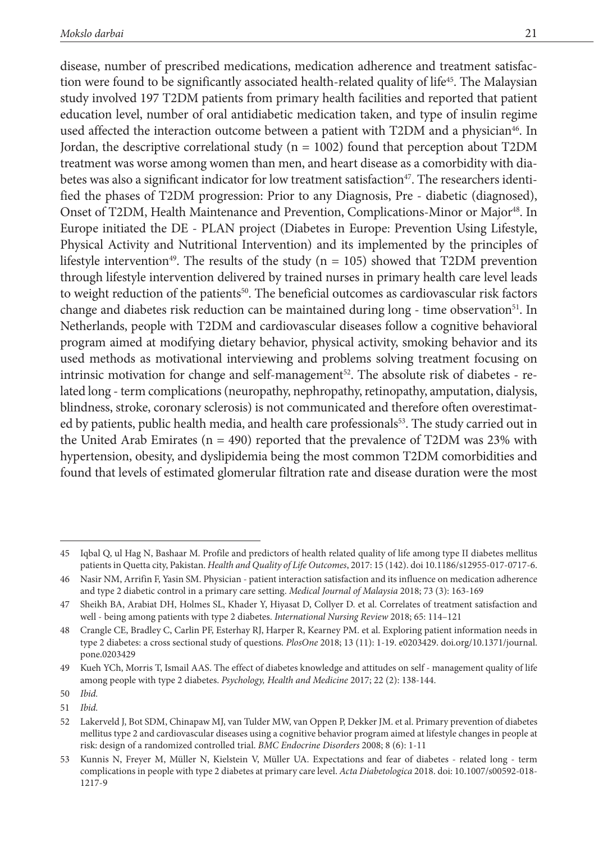disease, number of prescribed medications, medication adherence and treatment satisfaction were found to be significantly associated health-related quality of life<sup>45</sup>. The Malaysian study involved 197 T2DM patients from primary health facilities and reported that patient education level, number of oral antidiabetic medication taken, and type of insulin regime used affected the interaction outcome between a patient with T2DM and a physician<sup>46</sup>. In Jordan, the descriptive correlational study ( $n = 1002$ ) found that perception about T2DM treatment was worse among women than men, and heart disease as a comorbidity with diabetes was also a significant indicator for low treatment satisfaction<sup>47</sup>. The researchers identified the phases of T2DM progression: Prior to any Diagnosis, Pre - diabetic (diagnosed), Onset of T2DM, Health Maintenance and Prevention, Complications-Minor or Major48. In Europe initiated the DE - PLAN project (Diabetes in Europe: Prevention Using Lifestyle, Physical Activity and Nutritional Intervention) and its implemented by the principles of lifestyle intervention<sup>49</sup>. The results of the study ( $n = 105$ ) showed that T2DM prevention through lifestyle intervention delivered by trained nurses in primary health care level leads to weight reduction of the patients<sup>50</sup>. The beneficial outcomes as cardiovascular risk factors change and diabetes risk reduction can be maintained during long - time observation<sup>51</sup>. In Netherlands, people with T2DM and cardiovascular diseases follow a cognitive behavioral program aimed at modifying dietary behavior, physical activity, smoking behavior and its used methods as motivational interviewing and problems solving treatment focusing on intrinsic motivation for change and self-management<sup>52</sup>. The absolute risk of diabetes - related long - term complications (neuropathy, nephropathy, retinopathy, amputation, dialysis, blindness, stroke, coronary sclerosis) is not communicated and therefore often overestimated by patients, public health media, and health care professionals<sup>53</sup>. The study carried out in the United Arab Emirates ( $n = 490$ ) reported that the prevalence of T2DM was 23% with hypertension, obesity, and dyslipidemia being the most common T2DM comorbidities and found that levels of estimated glomerular filtration rate and disease duration were the most

<sup>45</sup> Iqbal Q, ul Hag N, Bashaar M. Profile and predictors of health related quality of life among type II diabetes mellitus patients in Quetta city, Pakistan. *Health and Quality of Life Outcomes*, 2017: 15 (142). doi 10.1186/s12955-017-0717-6.

<sup>46</sup> Nasir NM, Arrifin F, Yasin SM. Physician - patient interaction satisfaction and its influence on medication adherence and type 2 diabetic control in a primary care setting. *Medical Journal of Malaysia* 2018; 73 (3): 163-169

<sup>47</sup> Sheikh BA, Arabiat DH, Holmes SL, Khader Y, Hiyasat D, Collyer D. et al. Correlates of treatment satisfaction and well - being among patients with type 2 diabetes. *International Nursing Review* 2018; 65: 114–121

<sup>48</sup> Crangle CE, Bradley C, Carlin PF, Esterhay RJ, Harper R, Kearney PM. et al. Exploring patient information needs in type 2 diabetes: a cross sectional study of questions. *PlosOne* 2018; 13 (11): 1-19. e0203429. doi.org/10.1371/journal. pone.0203429

<sup>49</sup> Kueh YCh, Morris T, Ismail AAS. The effect of diabetes knowledge and attitudes on self - management quality of life among people with type 2 diabetes. *Psychology, Health and Medicine* 2017; 22 (2): 138-144.

<sup>50</sup> *Ibid.*

<sup>51</sup> *Ibid.*

<sup>52</sup> Lakerveld J, Bot SDM, Chinapaw MJ, van Tulder MW, van Oppen P, Dekker JM. et al. Primary prevention of diabetes mellitus type 2 and cardiovascular diseases using a cognitive behavior program aimed at lifestyle changes in people at risk: design of a randomized controlled trial. *BMC Endocrine Disorders* 2008; 8 (6): 1-11

<sup>53</sup> Kunnis N, Freyer M, Müller N, Kielstein V, Müller UA. Expectations and fear of diabetes - related long - term complications in people with type 2 diabetes at primary care level. *Acta Diabetologica* 2018. doi: 10.1007/s00592-018- 1217-9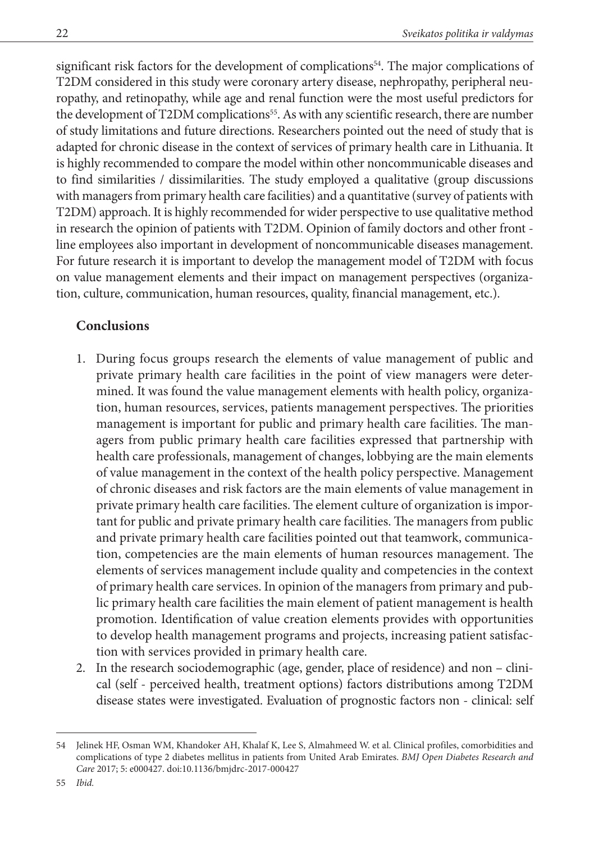significant risk factors for the development of complications<sup>54</sup>. The major complications of T2DM considered in this study were coronary artery disease, nephropathy, peripheral neuropathy, and retinopathy, while age and renal function were the most useful predictors for the development of T2DM complications<sup>55</sup>. As with any scientific research, there are number of study limitations and future directions. Researchers pointed out the need of study that is adapted for chronic disease in the context of services of primary health care in Lithuania. It is highly recommended to compare the model within other noncommunicable diseases and to find similarities / dissimilarities. The study employed a qualitative (group discussions with managers from primary health care facilities) and a quantitative (survey of patients with T2DM) approach. It is highly recommended for wider perspective to use qualitative method in research the opinion of patients with T2DM. Opinion of family doctors and other front line employees also important in development of noncommunicable diseases management. For future research it is important to develop the management model of T2DM with focus on value management elements and their impact on management perspectives (organization, culture, communication, human resources, quality, financial management, etc.).

## **Conclusions**

- 1. During focus groups research the elements of value management of public and private primary health care facilities in the point of view managers were determined. It was found the value management elements with health policy, organization, human resources, services, patients management perspectives. The priorities management is important for public and primary health care facilities. The managers from public primary health care facilities expressed that partnership with health care professionals, management of changes, lobbying are the main elements of value management in the context of the health policy perspective. Management of chronic diseases and risk factors are the main elements of value management in private primary health care facilities. The element culture of organization is important for public and private primary health care facilities. The managers from public and private primary health care facilities pointed out that teamwork, communication, competencies are the main elements of human resources management. The elements of services management include quality and competencies in the context of primary health care services. In opinion of the managers from primary and public primary health care facilities the main element of patient management is health promotion. Identification of value creation elements provides with opportunities to develop health management programs and projects, increasing patient satisfaction with services provided in primary health care.
- 2. In the research sociodemographic (age, gender, place of residence) and non clinical (self - perceived health, treatment options) factors distributions among T2DM disease states were investigated. Evaluation of prognostic factors non - clinical: self

<sup>54</sup> Jelinek HF, Osman WM, Khandoker AH, Khalaf K, Lee S, Almahmeed W. et al. Clinical profiles, comorbidities and complications of type 2 diabetes mellitus in patients from United Arab Emirates. *BMJ Open Diabetes Research and Care* 2017; 5: e000427. doi:10.1136/bmjdrc-2017-000427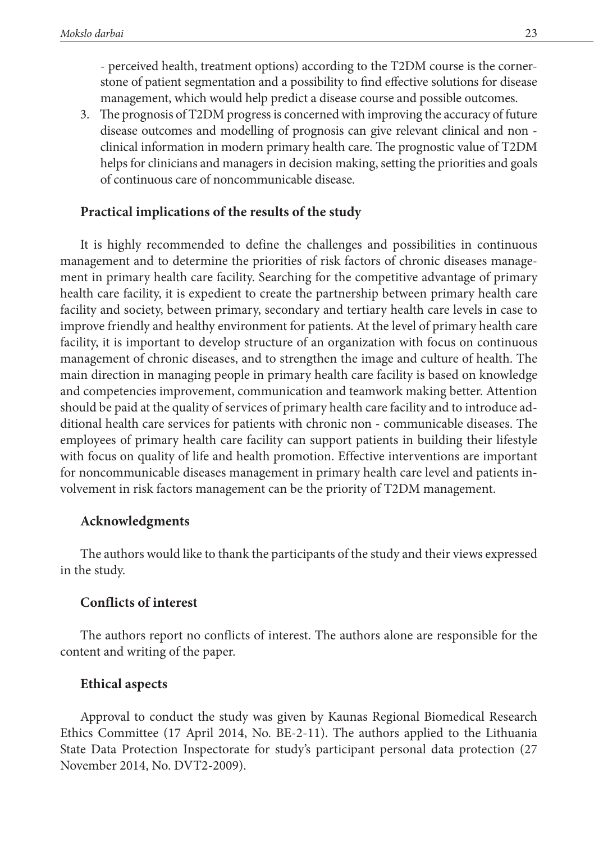- perceived health, treatment options) according to the T2DM course is the cornerstone of patient segmentation and a possibility to find effective solutions for disease management, which would help predict a disease course and possible outcomes.

3. The prognosis of T2DM progress is concerned with improving the accuracy of future disease outcomes and modelling of prognosis can give relevant clinical and non clinical information in modern primary health care. The prognostic value of T2DM helps for clinicians and managers in decision making, setting the priorities and goals of continuous care of noncommunicable disease.

### **Practical implications of the results of the study**

It is highly recommended to define the challenges and possibilities in continuous management and to determine the priorities of risk factors of chronic diseases management in primary health care facility. Searching for the competitive advantage of primary health care facility, it is expedient to create the partnership between primary health care facility and society, between primary, secondary and tertiary health care levels in case to improve friendly and healthy environment for patients. At the level of primary health care facility, it is important to develop structure of an organization with focus on continuous management of chronic diseases, and to strengthen the image and culture of health. The main direction in managing people in primary health care facility is based on knowledge and competencies improvement, communication and teamwork making better. Attention should be paid at the quality of services of primary health care facility and to introduce additional health care services for patients with chronic non - communicable diseases. The employees of primary health care facility can support patients in building their lifestyle with focus on quality of life and health promotion. Effective interventions are important for noncommunicable diseases management in primary health care level and patients involvement in risk factors management can be the priority of T2DM management.

### **Acknowledgments**

The authors would like to thank the participants of the study and their views expressed in the study.

### **Conflicts of interest**

The authors report no conflicts of interest. The authors alone are responsible for the content and writing of the paper.

### **Ethical aspects**

Approval to conduct the study was given by Kaunas Regional Biomedical Research Ethics Committee (17 April 2014, No. BE-2-11). The authors applied to the Lithuania State Data Protection Inspectorate for study's participant personal data protection (27 November 2014, No. DVT2-2009).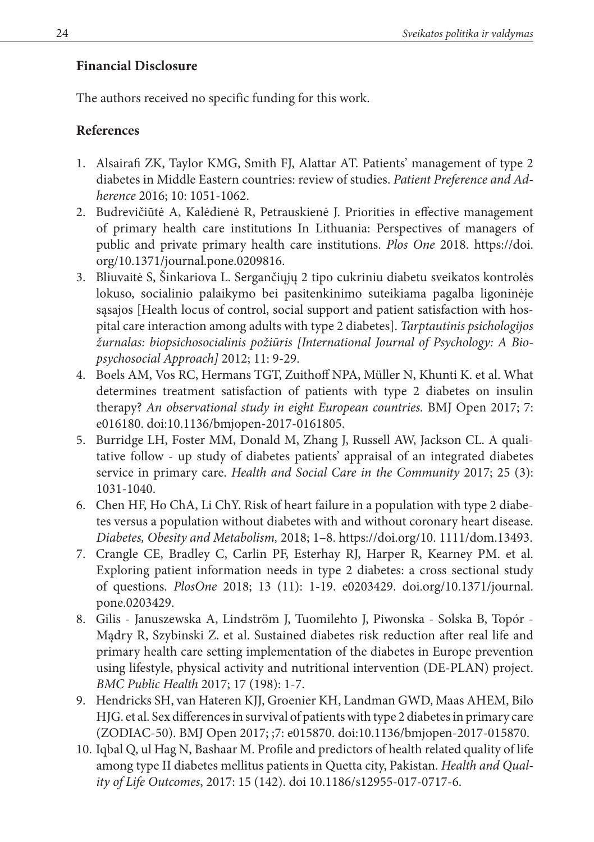## **Financial Disclosure**

The authors received no specific funding for this work.

## **References**

- 1. Alsairafi ZK, Taylor KMG, Smith FJ, Alattar AT. Patients' management of type 2 diabetes in Middle Eastern countries: review of studies. *Patient Preference and Adherence* 2016; 10: 1051-1062.
- 2. Budrevičiūtė A, Kalėdienė R, Petrauskienė J. Priorities in effective management of primary health care institutions In Lithuania: Perspectives of managers of public and private primary health care institutions. *Plos One* 2018. [https://doi.](https://doi.org/10.1371/journal.pone.0209816) [org/10.1371/journal.pone.0209816](https://doi.org/10.1371/journal.pone.0209816).
- 3. Bliuvaitė S, Šinkariova L. Sergančiųjų 2 tipo cukriniu diabetu sveikatos kontrolės lokuso, socialinio palaikymo bei pasitenkinimo suteikiama pagalba ligoninėje sąsajos [Health locus of control, social support and patient satisfaction with hospital care interaction among adults with type 2 diabetes]. *Tarptautinis psichologijos žurnalas: biopsichosocialinis požiūris [International Journal of Psychology: A Biopsychosocial Approach]* 2012; 11: 9-29.
- 4. Boels AM, Vos RC, Hermans TGT, Zuithoff NPA, Müller N, Khunti K. et al. What determines treatment satisfaction of patients with type 2 diabetes on insulin therapy? *An observational study in eight European countries.* BMJ Open 2017; 7: e016180. doi:10.1136/bmjopen-2017-0161805.
- 5. Burridge LH, Foster MM, Donald M, Zhang J, Russell AW, Jackson CL. A qualitative follow - up study of diabetes patients' appraisal of an integrated diabetes service in primary care. *Health and Social Care in the Community* 2017; 25 (3): 1031-1040.
- 6. Chen HF, Ho ChA, Li ChY. Risk of heart failure in a population with type 2 diabetes versus a population without diabetes with and without coronary heart disease. *Diabetes, Obesity and Metabolism,* 2018; 1–8.<https://doi.org/10. 1111/dom.13493>.
- 7. Crangle CE, Bradley C, Carlin PF, Esterhay RJ, Harper R, Kearney PM. et al. Exploring patient information needs in type 2 diabetes: a cross sectional study of questions. *PlosOne* 2018; 13 (11): 1-19. e0203429. doi.org/10.1371/journal. pone.0203429.
- 8. Gilis Januszewska A, Lindström J, Tuomilehto J, Piwonska Solska B, Topór -Mądry R, Szybinski Z. et al. Sustained diabetes risk reduction after real life and primary health care setting implementation of the diabetes in Europe prevention using lifestyle, physical activity and nutritional intervention (DE-PLAN) project. *BMC Public Health* 2017; 17 (198): 1-7.
- 9. Hendricks SH, van Hateren KJJ, Groenier KH, Landman GWD, Maas AHEM, Bilo HJG. et al. Sex differences in survival of patients with type 2 diabetes in primary care (ZODIAC-50). BMJ Open 2017; ;7: e015870. doi:10.1136/bmjopen-2017-015870.
- 10. Iqbal Q, ul Hag N, Bashaar M. Profile and predictors of health related quality of life among type II diabetes mellitus patients in Quetta city, Pakistan. *Health and Quality of Life Outcomes*, 2017: 15 (142). doi 10.1186/s12955-017-0717-6.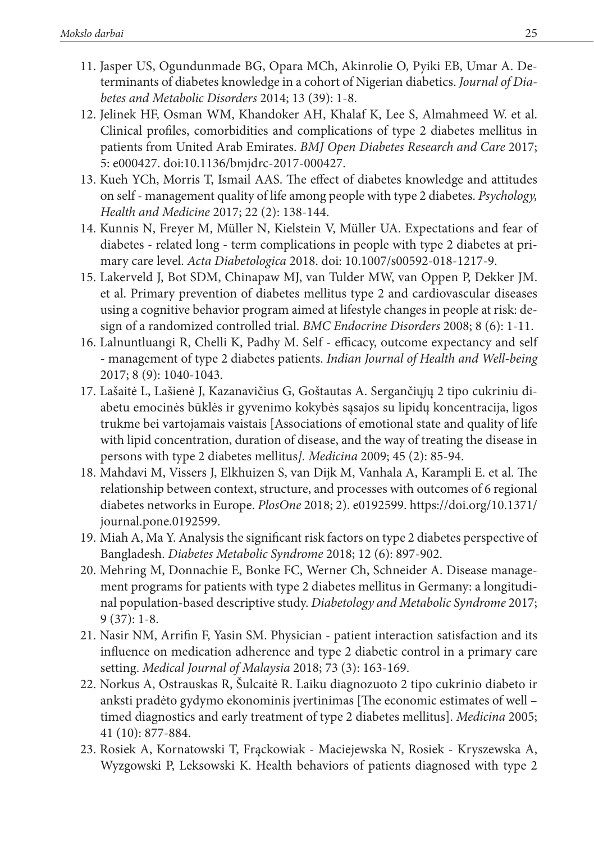- 11. Jasper US, Ogundunmade BG, Opara MCh, Akinrolie O, Pyiki EB, Umar A. Determinants of diabetes knowledge in a cohort of Nigerian diabetics. *Journal of Diabetes and Metabolic Disorders* 2014; 13 (39): 1-8.
- 12. Jelinek HF, Osman WM, Khandoker AH, Khalaf K, Lee S, Almahmeed W. et al. Clinical profiles, comorbidities and complications of type 2 diabetes mellitus in patients from United Arab Emirates. *BMJ Open Diabetes Research and Care* 2017; 5: e000427. doi:10.1136/bmjdrc-2017-000427.
- 13. Kueh YCh, Morris T, Ismail AAS. The effect of diabetes knowledge and attitudes on self - management quality of life among people with type 2 diabetes. *Psychology, Health and Medicine* 2017; 22 (2): 138-144.
- 14. Kunnis N, Freyer M, Müller N, Kielstein V, Müller UA. Expectations and fear of diabetes - related long - term complications in people with type 2 diabetes at primary care level. *Acta Diabetologica* 2018. doi: 10.1007/s00592-018-1217-9.
- 15. Lakerveld J, Bot SDM, Chinapaw MJ, van Tulder MW, van Oppen P, Dekker JM. et al. Primary prevention of diabetes mellitus type 2 and cardiovascular diseases using a cognitive behavior program aimed at lifestyle changes in people at risk: design of a randomized controlled trial. *BMC Endocrine Disorders* 2008; 8 (6): 1-11.
- 16. Lalnuntluangi R, Chelli K, Padhy M. Self efficacy, outcome expectancy and self - management of type 2 diabetes patients. *Indian Journal of Health and Well-being* 2017; 8 (9): 1040-1043.
- 17. Lašaitė L, Lašienė J, Kazanavičius G, Goštautas A. Sergančiųjų 2 tipo cukriniu diabetu emocinės būklės ir gyvenimo kokybės sąsajos su lipidų koncentracija, ligos trukme bei vartojamais vaistais [Associations of emotional state and quality of life with lipid concentration, duration of disease, and the way of treating the disease in persons with type 2 diabetes mellitus*]. Medicina* 2009; 45 (2): 85-94.
- 18. Mahdavi M, Vissers J, Elkhuizen S, van Dijk M, Vanhala A, Karampli E. et al. The relationship between context, structure, and processes with outcomes of 6 regional diabetes networks in Europe. *PlosOne* 2018; 2). e0192599. [https://doi.org/10.1371/](https://doi.org/10.1371/journal.pone.0192599) [journal.pone.0192599.](https://doi.org/10.1371/journal.pone.0192599)
- 19. Miah A, Ma Y. Analysis the significant risk factors on type 2 diabetes perspective of Bangladesh. *Diabetes Metabolic Syndrome* 2018; 12 (6): 897-902.
- 20. Mehring M, Donnachie E, Bonke FC, Werner Ch, Schneider A. Disease management programs for patients with type 2 diabetes mellitus in Germany: a longitudinal population-based descriptive study. *Diabetology and Metabolic Syndrome* 2017; 9 (37): 1-8.
- 21. Nasir NM, Arrifin F, Yasin SM. Physician patient interaction satisfaction and its influence on medication adherence and type 2 diabetic control in a primary care setting. *Medical Journal of Malaysia* 2018; 73 (3): 163-169.
- 22. Norkus A, Ostrauskas R, Šulcaitė R. Laiku diagnozuoto 2 tipo cukrinio diabeto ir anksti pradėto gydymo ekonominis įvertinimas [The economic estimates of well – timed diagnostics and early treatment of type 2 diabetes mellitus]. *Medicina* 2005; 41 (10): 877-884.
- 23. Rosiek A, Kornatowski T, Frąckowiak Maciejewska N, Rosiek Kryszewska A, Wyzgowski P, Leksowski K. Health behaviors of patients diagnosed with type 2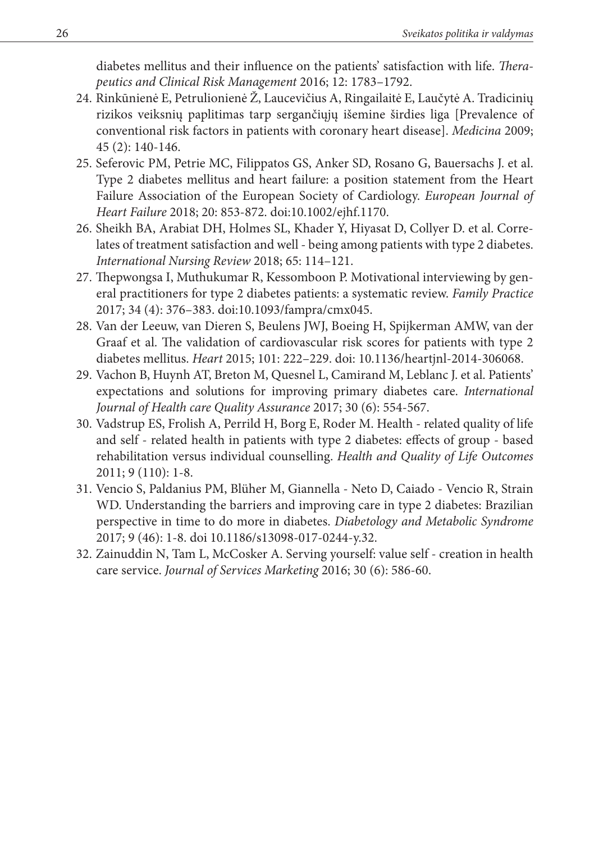diabetes mellitus and their influence on the patients' satisfaction with life. *Therapeutics and Clinical Risk Management* 2016; 12: 1783–1792.

- 24. Rinkūnienė E, Petrulionienė Ž, Laucevičius A, Ringailaitė E, Laučytė A. Tradicinių rizikos veiksnių paplitimas tarp sergančiųjų išemine širdies liga [Prevalence of conventional risk factors in patients with coronary heart disease]. *Medicina* 2009; 45 (2): 140-146.
- 25. Seferovic PM, Petrie MC, Filippatos GS, Anker SD, Rosano G, Bauersachs J. et al. Type 2 diabetes mellitus and heart failure: a position statement from the Heart Failure Association of the European Society of Cardiology. *European Journal of Heart Failure* 2018; 20: 853-872. doi:10.1002/ejhf.1170.
- 26. Sheikh BA, Arabiat DH, Holmes SL, Khader Y, Hiyasat D, Collyer D. et al. Correlates of treatment satisfaction and well - being among patients with type 2 diabetes. *International Nursing Review* 2018; 65: 114–121.
- 27. Thepwongsa I, Muthukumar R, Kessomboon P. Motivational interviewing by general practitioners for type 2 diabetes patients: a systematic review. *Family Practice* 2017; 34 (4): 376–383. doi:10.1093/fampra/cmx045.
- 28. Van der Leeuw, van Dieren S, Beulens JWJ, Boeing H, Spijkerman AMW, van der Graaf et al. The validation of cardiovascular risk scores for patients with type 2 diabetes mellitus. *Heart* 2015; 101: 222–229. doi: 10.1136/heartjnl-2014-306068.
- 29. Vachon B, Huynh AT, Breton M, Quesnel L, Camirand M, Leblanc J. et al. Patients' expectations and solutions for improving primary diabetes care. *International Journal of Health care Quality Assurance* 2017; 30 (6): 554-567.
- 30. Vadstrup ES, Frolish A, Perrild H, Borg E, Roder M. Health related quality of life and self - related health in patients with type 2 diabetes: effects of group - based rehabilitation versus individual counselling. *Health and Quality of Life Outcomes* 2011; 9 (110): 1-8.
- 31. Vencio S, Paldanius PM, Blüher M, Giannella Neto D, Caiado Vencio R, Strain WD. Understanding the barriers and improving care in type 2 diabetes: Brazilian perspective in time to do more in diabetes. *Diabetology and Metabolic Syndrome* 2017; 9 (46): 1-8. doi 10.1186/s13098-017-0244-y.32.
- 32. Zainuddin N, Tam L, McCosker A. Serving yourself: value self creation in health care service. *Journal of Services Marketing* 2016; 30 (6): 586-60.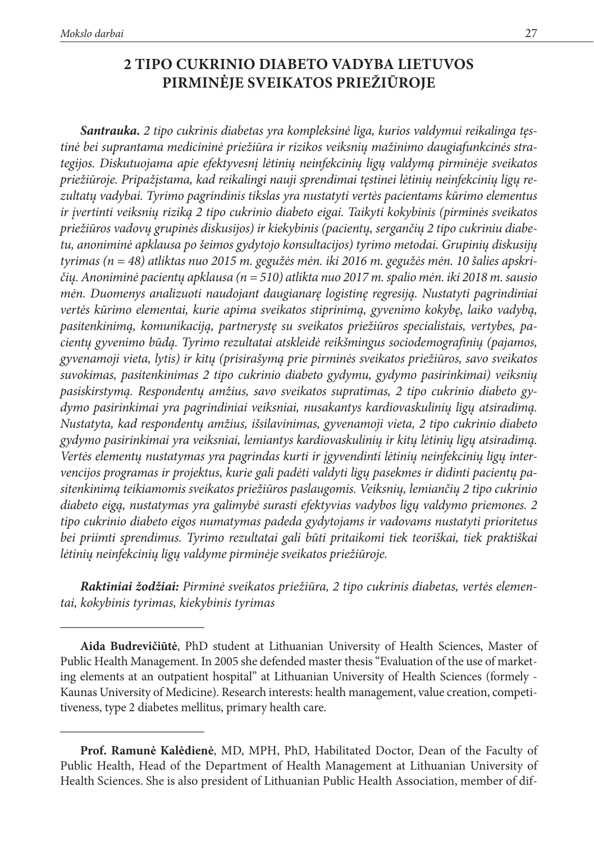# **2 TIPO CUKRINIO DIABETO VADYBA LIETUVOS PIRMINĖJE SVEIKATOS PRIEŽIŪROJE**

*Santrauka. 2 tipo cukrinis diabetas yra kompleksinė liga, kurios valdymui reikalinga tęstinė bei suprantama medicininė priežiūra ir rizikos veiksnių mažinimo daugiafunkcinės strategijos. Diskutuojama apie efektyvesnį lėtinių neinfekcinių ligų valdymą pirminėje sveikatos priežiūroje. Pripažįstama, kad reikalingi nauji sprendimai tęstinei lėtinių neinfekcinių ligų rezultatų vadybai. Tyrimo pagrindinis tikslas yra nustatyti vertės pacientams kūrimo elementus ir įvertinti veiksnių riziką 2 tipo cukrinio diabeto eigai. Taikyti kokybinis (pirminės sveikatos priežiūros vadovų grupinės diskusijos) ir kiekybinis (pacientų, sergančių 2 tipo cukriniu diabetu, anoniminė apklausa po šeimos gydytojo konsultacijos) tyrimo metodai. Grupinių diskusijų tyrimas (n = 48) atliktas nuo 2015 m. gegužės mėn. iki 2016 m. gegužės mėn. 10 šalies apskričių. Anoniminė pacientų apklausa (n = 510) atlikta nuo 2017 m. spalio mėn. iki 2018 m. sausio mėn. Duomenys analizuoti naudojant daugianarę logistinę regresiją. Nustatyti pagrindiniai vertės kūrimo elementai, kurie apima sveikatos stiprinimą, gyvenimo kokybę, laiko vadybą, pasitenkinimą, komunikaciją, partnerystę su sveikatos priežiūros specialistais, vertybes, pacientų gyvenimo būdą. Tyrimo rezultatai atskleidė reikšmingus sociodemografinių (pajamos, gyvenamoji vieta, lytis) ir kitų (prisirašymą prie pirminės sveikatos priežiūros, savo sveikatos suvokimas, pasitenkinimas 2 tipo cukrinio diabeto gydymu, gydymo pasirinkimai) veiksnių pasiskirstymą. Respondentų amžius, savo sveikatos supratimas, 2 tipo cukrinio diabeto gydymo pasirinkimai yra pagrindiniai veiksniai, nusakantys kardiovaskulinių ligų atsiradimą. Nustatyta, kad respondentų amžius, išsilavinimas, gyvenamoji vieta, 2 tipo cukrinio diabeto gydymo pasirinkimai yra veiksniai, lemiantys kardiovaskulinių ir kitų lėtinių ligų atsiradimą. Vertės elementų nustatymas yra pagrindas kurti ir įgyvendinti lėtinių neinfekcinių ligų intervencijos programas ir projektus, kurie gali padėti valdyti ligų pasekmes ir didinti pacientų pasitenkinimą teikiamomis sveikatos priežiūros paslaugomis. Veiksnių, lemiančių 2 tipo cukrinio diabeto eigą, nustatymas yra galimybė surasti efektyvias vadybos ligų valdymo priemones. 2 tipo cukrinio diabeto eigos numatymas padeda gydytojams ir vadovams nustatyti prioritetus bei priimti sprendimus. Tyrimo rezultatai gali būti pritaikomi tiek teoriškai, tiek praktiškai lėtinių neinfekcinių ligų valdyme pirminėje sveikatos priežiūroje.*

*Raktiniai žodžiai: Pirminė sveikatos priežiūra, 2 tipo cukrinis diabetas, vertės elementai, kokybinis tyrimas, kiekybinis tyrimas*

**Aida Budrevičiūtė**, PhD student at Lithuanian University of Health Sciences, Master of Public Health Management. In 2005 she defended master thesis "Evaluation of the use of marketing elements at an outpatient hospital" at Lithuanian University of Health Sciences (formely - Kaunas University of Medicine). Research interests: health management, value creation, competitiveness, type 2 diabetes mellitus, primary health care.

**Prof. Ramunė Kalėdienė**, MD, MPH, PhD, Habilitated Doctor, Dean of the Faculty of Public Health, Head of the Department of Health Management at Lithuanian University of Health Sciences. She is also president of Lithuanian Public Health Association, member of dif-